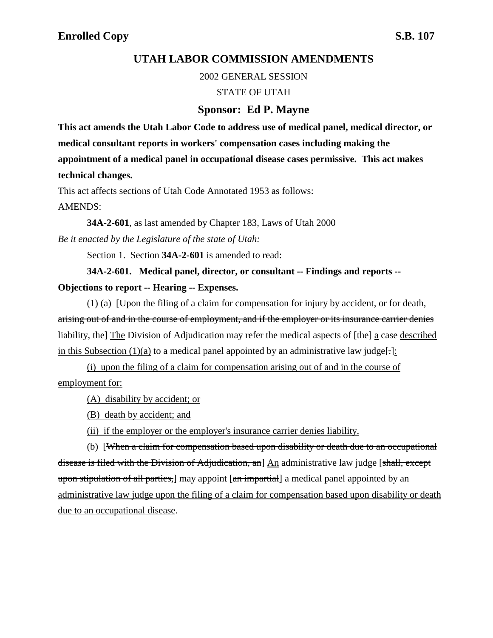## **UTAH LABOR COMMISSION AMENDMENTS**

2002 GENERAL SESSION

#### STATE OF UTAH

### **Sponsor: Ed P. Mayne**

**This act amends the Utah Labor Code to address use of medical panel, medical director, or medical consultant reports in workers' compensation cases including making the appointment of a medical panel in occupational disease cases permissive. This act makes technical changes.**

This act affects sections of Utah Code Annotated 1953 as follows: AMENDS:

**34A-2-601**, as last amended by Chapter 183, Laws of Utah 2000 *Be it enacted by the Legislature of the state of Utah:*

Section 1. Section **34A-2-601** is amended to read:

**34A-2-601. Medical panel, director, or consultant -- Findings and reports -- Objections to report -- Hearing -- Expenses.**

(1) (a) [Upon the filing of a claim for compensation for injury by accident, or for death, arising out of and in the course of employment, and if the employer or its insurance carrier denies liability, the] The Division of Adjudication may refer the medical aspects of [the] a case described in this Subsection  $(1)(a)$  to a medical panel appointed by an administrative law judge[-]:

(i) upon the filing of a claim for compensation arising out of and in the course of employment for:

(A) disability by accident; or

(B) death by accident; and

(ii) if the employer or the employer's insurance carrier denies liability.

(b) [When a claim for compensation based upon disability or death due to an occupational disease is filed with the Division of Adjudication, an<sup>d</sup> An administrative law judge [shall, except] upon stipulation of all parties, may appoint [an impartial] a medical panel appointed by an administrative law judge upon the filing of a claim for compensation based upon disability or death due to an occupational disease.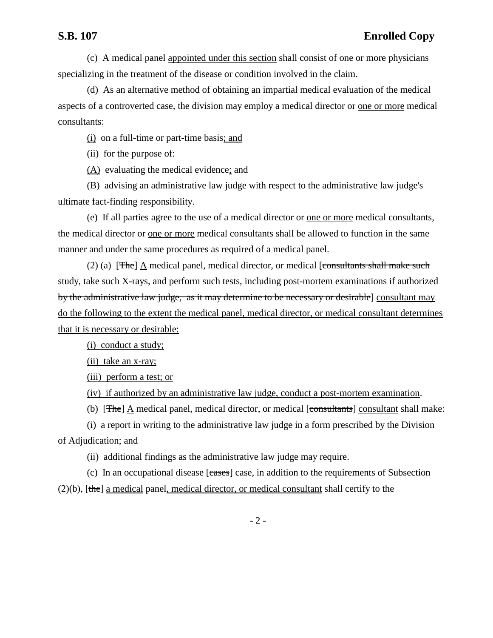(c) A medical panel appointed under this section shall consist of one or more physicians specializing in the treatment of the disease or condition involved in the claim.

(d) As an alternative method of obtaining an impartial medical evaluation of the medical aspects of a controverted case, the division may employ a medical director or one or more medical consultants:

(i) on a full-time or part-time basis; and

(ii) for the purpose of:

(A) evaluating the medical evidence; and

(B) advising an administrative law judge with respect to the administrative law judge's ultimate fact-finding responsibility.

(e) If all parties agree to the use of a medical director or one or more medical consultants, the medical director or <u>one or more</u> medical consultants shall be allowed to function in the same manner and under the same procedures as required of a medical panel.

(2) (a) [The]  $\Delta$  medical panel, medical director, or medical [consultants shall make such study, take such X-rays, and perform such tests, including post-mortem examinations if authorized by the administrative law judge, as it may determine to be necessary or desirable] consultant may do the following to the extent the medical panel, medical director, or medical consultant determines that it is necessary or desirable:

(i) conduct a study;

(ii) take an x-ray;

(iii) perform a test; or

(iv) if authorized by an administrative law judge, conduct a post-mortem examination.

(b) [The] A medical panel, medical director, or medical [consultants] consultant shall make:

(i) a report in writing to the administrative law judge in a form prescribed by the Division of Adjudication; and

(ii) additional findings as the administrative law judge may require.

(c) In an occupational disease [cases] case, in addition to the requirements of Subsection  $(2)(b)$ , [the] a medical panel, medical director, or medical consultant shall certify to the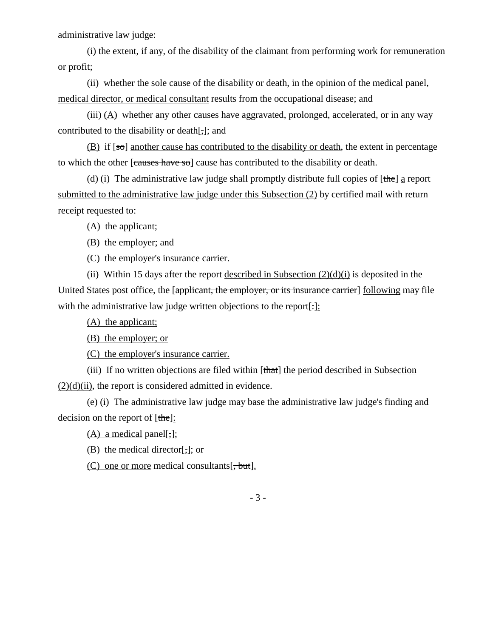administrative law judge:

(i) the extent, if any, of the disability of the claimant from performing work for remuneration or profit;

(ii) whether the sole cause of the disability or death, in the opinion of the medical panel, medical director, or medical consultant results from the occupational disease; and

(iii) (A) whether any other causes have aggravated, prolonged, accelerated, or in any way contributed to the disability or death[,]; and

(B) if  $\lceil \circ \circ \circ \cdot \rangle$  another cause has contributed to the disability or death, the extent in percentage to which the other [causes have so] cause has contributed to the disability or death.

(d) (i) The administrative law judge shall promptly distribute full copies of  $[the]$  a report submitted to the administrative law judge under this Subsection (2) by certified mail with return receipt requested to:

(A) the applicant;

(B) the employer; and

(C) the employer's insurance carrier.

(ii) Within 15 days after the report described in Subsection  $(2)(d)(i)$  is deposited in the United States post office, the [applicant, the employer, or its insurance carrier] following may file with the administrative law judge written objections to the report[.]:

(A) the applicant;

(B) the employer; or

(C) the employer's insurance carrier.

(iii) If no written objections are filed within  $[that]$  the period described in Subsection  $(2)(d)(ii)$ , the report is considered admitted in evidence.

(e) (i) The administrative law judge may base the administrative law judge's finding and decision on the report of [the]:

 $(A)$  a medical panel[;];

(B) the medical director[,]; or

(C) one or more medical consultants  $[\frac{1}{2}, \frac{1}{2}, \frac{1}{2}]$ .

- 3 -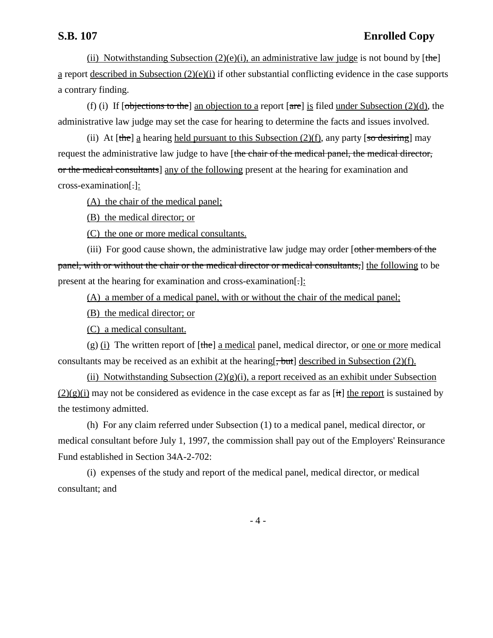# **S.B. 107 Enrolled Copy**

(ii) Notwithstanding Subsection  $(2)(e)(i)$ , an administrative law judge is not bound by [the] a report described in Subsection (2)(e)(i) if other substantial conflicting evidence in the case supports a contrary finding.

(f) (i) If  $\lceil \frac{\text{objections to the}}{\text{ang points}} \rceil$  an objection to a report  $\lceil \frac{\text{area}}{\text{ang}} \rceil$  is filed under Subsection (2)(d), the administrative law judge may set the case for hearing to determine the facts and issues involved.

(ii) At  $[the]$  a hearing held pursuant to this Subsection (2)(f), any party  $[so$  desiring] may request the administrative law judge to have [the chair of the medical panel, the medical director, or the medical consultants] any of the following present at the hearing for examination and cross-examination[.]:

(A) the chair of the medical panel;

(B) the medical director; or

(C) the one or more medical consultants.

(iii) For good cause shown, the administrative law judge may order [other members of the panel, with or without the chair or the medical director or medical consultants,] the following to be present at the hearing for examination and cross-examination[.]:

(A) a member of a medical panel, with or without the chair of the medical panel;

(B) the medical director; or

(C) a medical consultant.

 $(g)$  (i) The written report of  $[\theta]$  a medical panel, medical director, or <u>one or more</u> medical consultants may be received as an exhibit at the hearing  $\frac{1}{b}$  described in Subsection (2)(f).

(ii) Notwithstanding Subsection  $(2)(g)(i)$ , a report received as an exhibit under Subsection  $(2)(g)(i)$  may not be considered as evidence in the case except as far as [it] the report is sustained by the testimony admitted.

(h) For any claim referred under Subsection (1) to a medical panel, medical director, or medical consultant before July 1, 1997, the commission shall pay out of the Employers' Reinsurance Fund established in Section 34A-2-702:

(i) expenses of the study and report of the medical panel, medical director, or medical consultant; and